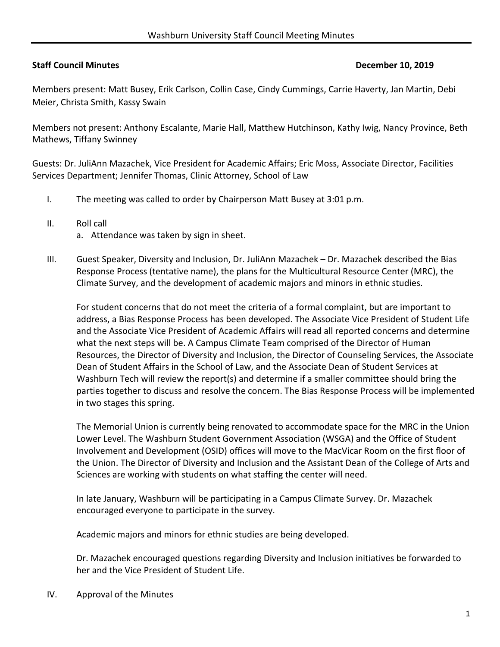## **Staff Council Minutes December 10, 2019**

Members present: Matt Busey, Erik Carlson, Collin Case, Cindy Cummings, Carrie Haverty, Jan Martin, Debi Meier, Christa Smith, Kassy Swain

Members not present: Anthony Escalante, Marie Hall, Matthew Hutchinson, Kathy Iwig, Nancy Province, Beth Mathews, Tiffany Swinney

Guests: Dr. JuliAnn Mazachek, Vice President for Academic Affairs; Eric Moss, Associate Director, Facilities Services Department; Jennifer Thomas, Clinic Attorney, School of Law

- I. The meeting was called to order by Chairperson Matt Busey at 3:01 p.m.
- II. Roll call
	- a. Attendance was taken by sign in sheet.
- III. Guest Speaker, Diversity and Inclusion, Dr. JuliAnn Mazachek Dr. Mazachek described the Bias Response Process (tentative name), the plans for the Multicultural Resource Center (MRC), the Climate Survey, and the development of academic majors and minors in ethnic studies.

For student concerns that do not meet the criteria of a formal complaint, but are important to address, a Bias Response Process has been developed. The Associate Vice President of Student Life and the Associate Vice President of Academic Affairs will read all reported concerns and determine what the next steps will be. A Campus Climate Team comprised of the Director of Human Resources, the Director of Diversity and Inclusion, the Director of Counseling Services, the Associate Dean of Student Affairs in the School of Law, and the Associate Dean of Student Services at Washburn Tech will review the report(s) and determine if a smaller committee should bring the parties together to discuss and resolve the concern. The Bias Response Process will be implemented in two stages this spring.

The Memorial Union is currently being renovated to accommodate space for the MRC in the Union Lower Level. The Washburn Student Government Association (WSGA) and the Office of Student Involvement and Development (OSID) offices will move to the MacVicar Room on the first floor of the Union. The Director of Diversity and Inclusion and the Assistant Dean of the College of Arts and Sciences are working with students on what staffing the center will need.

In late January, Washburn will be participating in a Campus Climate Survey. Dr. Mazachek encouraged everyone to participate in the survey.

Academic majors and minors for ethnic studies are being developed.

Dr. Mazachek encouraged questions regarding Diversity and Inclusion initiatives be forwarded to her and the Vice President of Student Life.

IV. Approval of the Minutes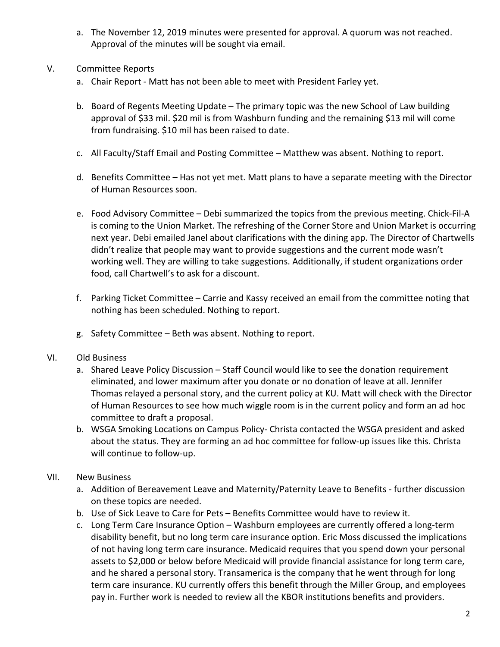- a. The November 12, 2019 minutes were presented for approval. A quorum was not reached. Approval of the minutes will be sought via email.
- V. Committee Reports
	- a. Chair Report ‐ Matt has not been able to meet with President Farley yet.
	- b. Board of Regents Meeting Update The primary topic was the new School of Law building approval of \$33 mil. \$20 mil is from Washburn funding and the remaining \$13 mil will come from fundraising. \$10 mil has been raised to date.
	- c. All Faculty/Staff Email and Posting Committee Matthew was absent. Nothing to report.
	- d. Benefits Committee Has not yet met. Matt plans to have a separate meeting with the Director of Human Resources soon.
	- e. Food Advisory Committee Debi summarized the topics from the previous meeting. Chick‐Fil‐A is coming to the Union Market. The refreshing of the Corner Store and Union Market is occurring next year. Debi emailed Janel about clarifications with the dining app. The Director of Chartwells didn't realize that people may want to provide suggestions and the current mode wasn't working well. They are willing to take suggestions. Additionally, if student organizations order food, call Chartwell's to ask for a discount.
	- f. Parking Ticket Committee Carrie and Kassy received an email from the committee noting that nothing has been scheduled. Nothing to report.
	- g. Safety Committee Beth was absent. Nothing to report.

### VI. Old Business

- a. Shared Leave Policy Discussion Staff Council would like to see the donation requirement eliminated, and lower maximum after you donate or no donation of leave at all. Jennifer Thomas relayed a personal story, and the current policy at KU. Matt will check with the Director of Human Resources to see how much wiggle room is in the current policy and form an ad hoc committee to draft a proposal.
- b. WSGA Smoking Locations on Campus Policy‐ Christa contacted the WSGA president and asked about the status. They are forming an ad hoc committee for follow‐up issues like this. Christa will continue to follow‐up.
- VII. New Business
	- a. Addition of Bereavement Leave and Maternity/Paternity Leave to Benefits ‐ further discussion on these topics are needed.
	- b. Use of Sick Leave to Care for Pets Benefits Committee would have to review it.
	- c. Long Term Care Insurance Option Washburn employees are currently offered a long‐term disability benefit, but no long term care insurance option. Eric Moss discussed the implications of not having long term care insurance. Medicaid requires that you spend down your personal assets to \$2,000 or below before Medicaid will provide financial assistance for long term care, and he shared a personal story. Transamerica is the company that he went through for long term care insurance. KU currently offers this benefit through the Miller Group, and employees pay in. Further work is needed to review all the KBOR institutions benefits and providers.